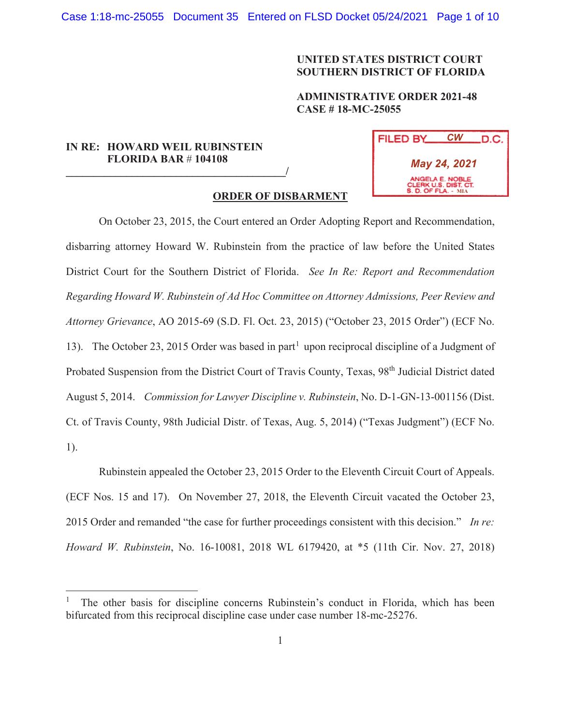# **UNITED STATES DISTRICT COURT SOUTHERN DISTRICT OF FLORIDA**

# **ADMINISTRATIVE ORDER 2021-48 CASE # 18-MC-25055**

# **IN RE: HOWARD WEIL RUBINSTEIN FLORIDA BAR** # **104108 \_\_\_\_\_\_\_\_\_\_\_\_\_\_\_\_\_\_\_\_\_\_\_\_\_\_\_\_\_\_\_\_\_\_\_\_\_\_\_\_/**

| FILED BY                                                              | CW | .D.C. |
|-----------------------------------------------------------------------|----|-------|
| May 24, 2021                                                          |    |       |
| ANGELA E. NOBLE<br>CLERK U.S. DIST. CT.<br><b>S. D. OF FLA. - MIA</b> |    |       |

# **ORDER OF DISBARMENT**

On October 23, 2015, the Court entered an Order Adopting Report and Recommendation, disbarring attorney Howard W. Rubinstein from the practice of law before the United States District Court for the Southern District of Florida. *See In Re: Report and Recommendation Regarding Howard W. Rubinstein of Ad Hoc Committee on Attorney Admissions, Peer Review and Attorney Grievance*, AO 2015-69 (S.D. Fl. Oct. 23, 2015) ("October 23, 2015 Order") (ECF No. 13). The October 23, 2015 Order was based in part<sup>1</sup> upon reciprocal discipline of a Judgment of Probated Suspension from the District Court of Travis County, Texas, 98<sup>th</sup> Judicial District dated August 5, 2014. *Commission for Lawyer Discipline v. Rubinstein*, No. D-1-GN-13-001156 (Dist. Ct. of Travis County, 98th Judicial Distr. of Texas, Aug. 5, 2014) ("Texas Judgment") (ECF No. 1).

Rubinstein appealed the October 23, 2015 Order to the Eleventh Circuit Court of Appeals. (ECF Nos. 15 and 17). On November 27, 2018, the Eleventh Circuit vacated the October 23, 2015 Order and remanded "the case for further proceedings consistent with this decision." *In re: Howard W. Rubinstein*, No. 16-10081, 2018 WL 6179420, at \*5 (11th Cir. Nov. 27, 2018)

The other basis for discipline concerns Rubinstein's conduct in Florida, which has been bifurcated from this reciprocal discipline case under case number 18-mc-25276.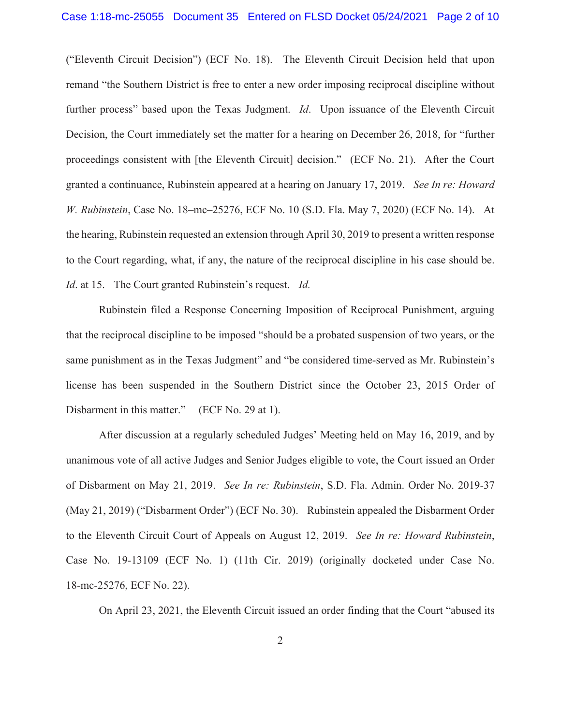("Eleventh Circuit Decision") (ECF No. 18). The Eleventh Circuit Decision held that upon remand "the Southern District is free to enter a new order imposing reciprocal discipline without further process" based upon the Texas Judgment. *Id*. Upon issuance of the Eleventh Circuit Decision, the Court immediately set the matter for a hearing on December 26, 2018, for "further proceedings consistent with [the Eleventh Circuit] decision." (ECF No. 21). After the Court granted a continuance, Rubinstein appeared at a hearing on January 17, 2019. *See In re: Howard W. Rubinstein*, Case No. 18–mc–25276, ECF No. 10 (S.D. Fla. May 7, 2020) (ECF No. 14). At the hearing, Rubinstein requested an extension through April 30, 2019 to present a written response to the Court regarding, what, if any, the nature of the reciprocal discipline in his case should be. *Id*. at 15. The Court granted Rubinstein's request. *Id.*

 Rubinstein filed a Response Concerning Imposition of Reciprocal Punishment, arguing that the reciprocal discipline to be imposed "should be a probated suspension of two years, or the same punishment as in the Texas Judgment" and "be considered time-served as Mr. Rubinstein's license has been suspended in the Southern District since the October 23, 2015 Order of Disbarment in this matter." (ECF No. 29 at 1).

 After discussion at a regularly scheduled Judges' Meeting held on May 16, 2019, and by unanimous vote of all active Judges and Senior Judges eligible to vote, the Court issued an Order of Disbarment on May 21, 2019. *See In re: Rubinstein*, S.D. Fla. Admin. Order No. 2019-37 (May 21, 2019) ("Disbarment Order") (ECF No. 30). Rubinstein appealed the Disbarment Order to the Eleventh Circuit Court of Appeals on August 12, 2019. *See In re: Howard Rubinstein*, Case No. 19-13109 (ECF No. 1) (11th Cir. 2019) (originally docketed under Case No. 18-mc-25276, ECF No. 22).

On April 23, 2021, the Eleventh Circuit issued an order finding that the Court "abused its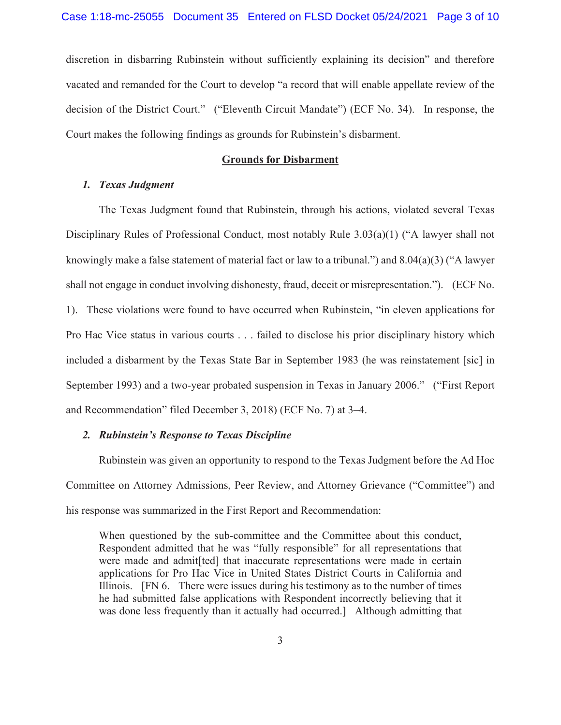discretion in disbarring Rubinstein without sufficiently explaining its decision" and therefore vacated and remanded for the Court to develop "a record that will enable appellate review of the decision of the District Court." ("Eleventh Circuit Mandate") (ECF No. 34). In response, the Court makes the following findings as grounds for Rubinstein's disbarment.

#### **Grounds for Disbarment**

## *1. Texas Judgment*

 The Texas Judgment found that Rubinstein, through his actions, violated several Texas Disciplinary Rules of Professional Conduct, most notably Rule 3.03(a)(1) ("A lawyer shall not knowingly make a false statement of material fact or law to a tribunal.") and 8.04(a)(3) ("A lawyer shall not engage in conduct involving dishonesty, fraud, deceit or misrepresentation."). (ECF No. 1). These violations were found to have occurred when Rubinstein, "in eleven applications for Pro Hac Vice status in various courts . . . failed to disclose his prior disciplinary history which included a disbarment by the Texas State Bar in September 1983 (he was reinstatement [sic] in September 1993) and a two-year probated suspension in Texas in January 2006." ("First Report and Recommendation" filed December 3, 2018) (ECF No. 7) at 3–4.

## *2. Rubinstein's Response to Texas Discipline*

Rubinstein was given an opportunity to respond to the Texas Judgment before the Ad Hoc Committee on Attorney Admissions, Peer Review, and Attorney Grievance ("Committee") and his response was summarized in the First Report and Recommendation:

When questioned by the sub-committee and the Committee about this conduct, Respondent admitted that he was "fully responsible" for all representations that were made and admit[ted] that inaccurate representations were made in certain applications for Pro Hac Vice in United States District Courts in California and Illinois. [FN 6. There were issues during his testimony as to the number of times he had submitted false applications with Respondent incorrectly believing that it was done less frequently than it actually had occurred.] Although admitting that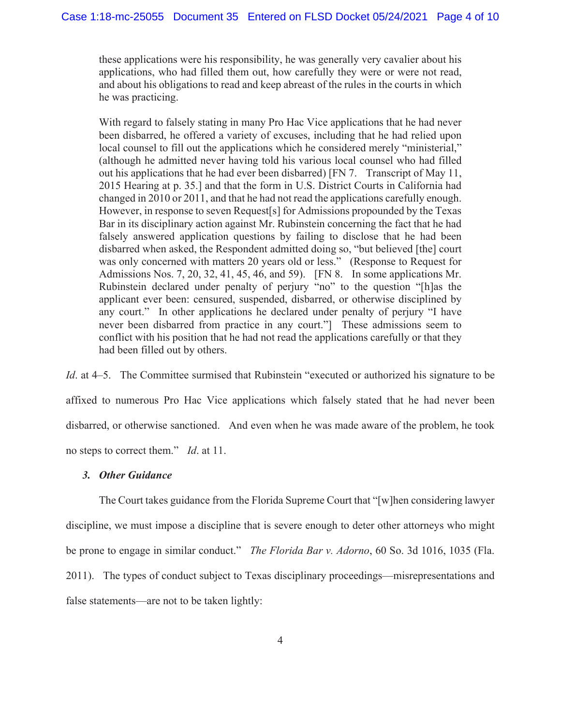these applications were his responsibility, he was generally very cavalier about his applications, who had filled them out, how carefully they were or were not read, and about his obligations to read and keep abreast of the rules in the courts in which he was practicing.

With regard to falsely stating in many Pro Hac Vice applications that he had never been disbarred, he offered a variety of excuses, including that he had relied upon local counsel to fill out the applications which he considered merely "ministerial," (although he admitted never having told his various local counsel who had filled out his applications that he had ever been disbarred) [FN 7. Transcript of May 11, 2015 Hearing at p. 35.] and that the form in U.S. District Courts in California had changed in 2010 or 2011, and that he had not read the applications carefully enough. However, in response to seven Request[s] for Admissions propounded by the Texas Bar in its disciplinary action against Mr. Rubinstein concerning the fact that he had falsely answered application questions by failing to disclose that he had been disbarred when asked, the Respondent admitted doing so, "but believed [the] court was only concerned with matters 20 years old or less." (Response to Request for Admissions Nos. 7, 20, 32, 41, 45, 46, and 59). [FN 8. In some applications Mr. Rubinstein declared under penalty of perjury "no" to the question "[h]as the applicant ever been: censured, suspended, disbarred, or otherwise disciplined by any court." In other applications he declared under penalty of perjury "I have never been disbarred from practice in any court."] These admissions seem to conflict with his position that he had not read the applications carefully or that they had been filled out by others.

*Id.* at 4–5. The Committee surmised that Rubinstein "executed or authorized his signature to be affixed to numerous Pro Hac Vice applications which falsely stated that he had never been disbarred, or otherwise sanctioned. And even when he was made aware of the problem, he took no steps to correct them." *Id*. at 11.

#### *3. Other Guidance*

 The Court takes guidance from the Florida Supreme Court that "[w]hen considering lawyer discipline, we must impose a discipline that is severe enough to deter other attorneys who might be prone to engage in similar conduct." *The Florida Bar v. Adorno*, 60 So. 3d 1016, 1035 (Fla. 2011). The types of conduct subject to Texas disciplinary proceedings—misrepresentations and false statements—are not to be taken lightly: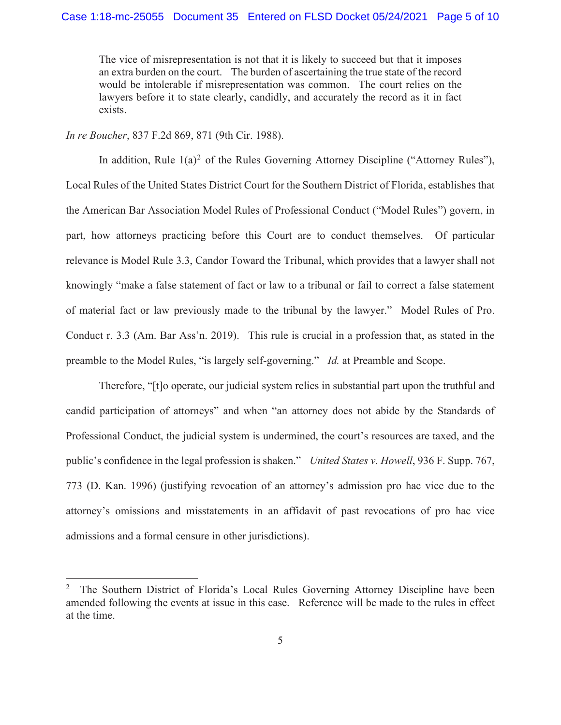## Case 1:18-mc-25055 Document 35 Entered on FLSD Docket 05/24/2021 Page 5 of 10

The vice of misrepresentation is not that it is likely to succeed but that it imposes an extra burden on the court. The burden of ascertaining the true state of the record would be intolerable if misrepresentation was common. The court relies on the lawyers before it to state clearly, candidly, and accurately the record as it in fact exists.

*In re Boucher*, 837 F.2d 869, 871 (9th Cir. 1988).

In addition, Rule  $1(a)^2$  of the Rules Governing Attorney Discipline ("Attorney Rules"), Local Rules of the United States District Court for the Southern District of Florida, establishes that the American Bar Association Model Rules of Professional Conduct ("Model Rules") govern, in part, how attorneys practicing before this Court are to conduct themselves. Of particular relevance is Model Rule 3.3, Candor Toward the Tribunal, which provides that a lawyer shall not knowingly "make a false statement of fact or law to a tribunal or fail to correct a false statement of material fact or law previously made to the tribunal by the lawyer." Model Rules of Pro. Conduct r. 3.3 (Am. Bar Ass'n. 2019). This rule is crucial in a profession that, as stated in the preamble to the Model Rules, "is largely self-governing." *Id.* at Preamble and Scope.

Therefore, "[t]o operate, our judicial system relies in substantial part upon the truthful and candid participation of attorneys" and when "an attorney does not abide by the Standards of Professional Conduct, the judicial system is undermined, the court's resources are taxed, and the public's confidence in the legal profession is shaken." *United States v. Howell*, 936 F. Supp. 767, 773 (D. Kan. 1996) (justifying revocation of an attorney's admission pro hac vice due to the attorney's omissions and misstatements in an affidavit of past revocations of pro hac vice admissions and a formal censure in other jurisdictions).

<sup>2</sup> The Southern District of Florida's Local Rules Governing Attorney Discipline have been amended following the events at issue in this case. Reference will be made to the rules in effect at the time.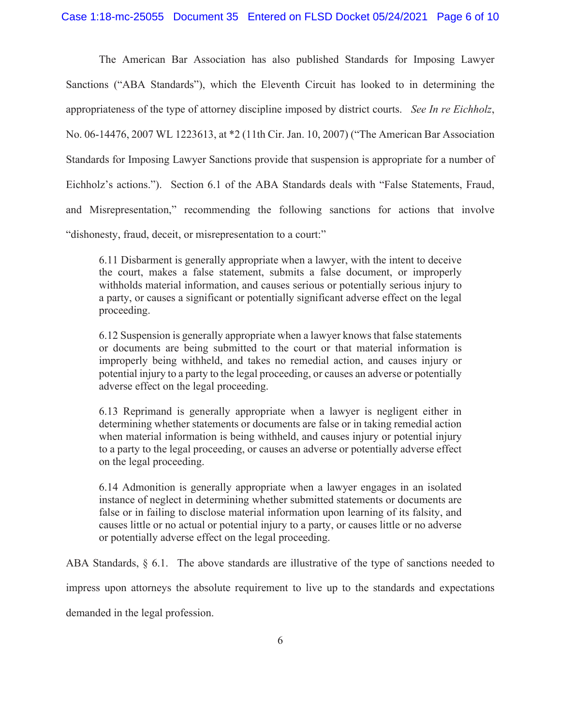## Case 1:18-mc-25055 Document 35 Entered on FLSD Docket 05/24/2021 Page 6 of 10

The American Bar Association has also published Standards for Imposing Lawyer Sanctions ("ABA Standards"), which the Eleventh Circuit has looked to in determining the appropriateness of the type of attorney discipline imposed by district courts. *See In re Eichholz*, No. 06-14476, 2007 WL 1223613, at \*2 (11th Cir. Jan. 10, 2007) ("The American Bar Association Standards for Imposing Lawyer Sanctions provide that suspension is appropriate for a number of Eichholz's actions."). Section 6.1 of the ABA Standards deals with "False Statements, Fraud, and Misrepresentation," recommending the following sanctions for actions that involve "dishonesty, fraud, deceit, or misrepresentation to a court:"

6.11 Disbarment is generally appropriate when a lawyer, with the intent to deceive the court, makes a false statement, submits a false document, or improperly withholds material information, and causes serious or potentially serious injury to a party, or causes a significant or potentially significant adverse effect on the legal proceeding.

6.12 Suspension is generally appropriate when a lawyer knows that false statements or documents are being submitted to the court or that material information is improperly being withheld, and takes no remedial action, and causes injury or potential injury to a party to the legal proceeding, or causes an adverse or potentially adverse effect on the legal proceeding.

6.13 Reprimand is generally appropriate when a lawyer is negligent either in determining whether statements or documents are false or in taking remedial action when material information is being withheld, and causes injury or potential injury to a party to the legal proceeding, or causes an adverse or potentially adverse effect on the legal proceeding.

6.14 Admonition is generally appropriate when a lawyer engages in an isolated instance of neglect in determining whether submitted statements or documents are false or in failing to disclose material information upon learning of its falsity, and causes little or no actual or potential injury to a party, or causes little or no adverse or potentially adverse effect on the legal proceeding.

ABA Standards, § 6.1. The above standards are illustrative of the type of sanctions needed to

impress upon attorneys the absolute requirement to live up to the standards and expectations

demanded in the legal profession.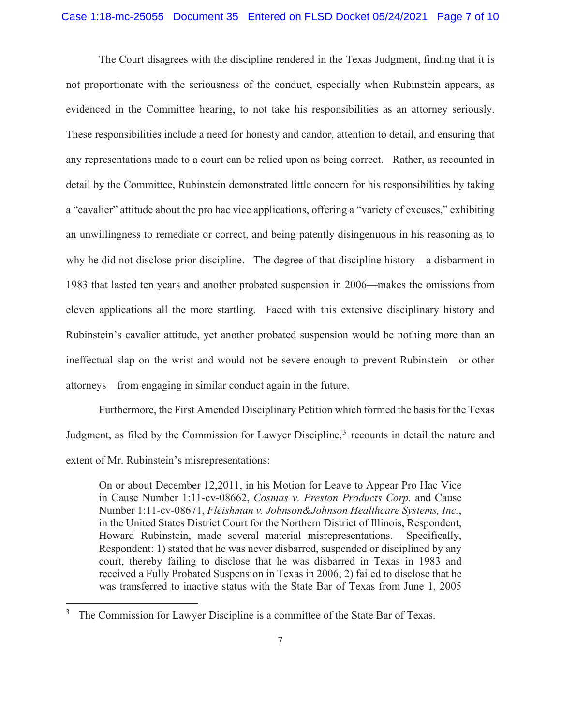## Case 1:18-mc-25055 Document 35 Entered on FLSD Docket 05/24/2021 Page 7 of 10

The Court disagrees with the discipline rendered in the Texas Judgment, finding that it is not proportionate with the seriousness of the conduct, especially when Rubinstein appears, as evidenced in the Committee hearing, to not take his responsibilities as an attorney seriously. These responsibilities include a need for honesty and candor, attention to detail, and ensuring that any representations made to a court can be relied upon as being correct. Rather, as recounted in detail by the Committee, Rubinstein demonstrated little concern for his responsibilities by taking a "cavalier" attitude about the pro hac vice applications, offering a "variety of excuses," exhibiting an unwillingness to remediate or correct, and being patently disingenuous in his reasoning as to why he did not disclose prior discipline. The degree of that discipline history—a disbarment in 1983 that lasted ten years and another probated suspension in 2006—makes the omissions from eleven applications all the more startling. Faced with this extensive disciplinary history and Rubinstein's cavalier attitude, yet another probated suspension would be nothing more than an ineffectual slap on the wrist and would not be severe enough to prevent Rubinstein—or other attorneys—from engaging in similar conduct again in the future.

 Furthermore, the First Amended Disciplinary Petition which formed the basis for the Texas Judgment, as filed by the Commission for Lawyer Discipline,<sup>3</sup> recounts in detail the nature and extent of Mr. Rubinstein's misrepresentations:

On or about December 12,2011, in his Motion for Leave to Appear Pro Hac Vice in Cause Number 1:11-cv-08662, *Cosmas v. Preston Products Corp.* and Cause Number 1:11-cv-08671, *Fleishman v. Johnson&Johnson Healthcare Systems, Inc.*, in the United States District Court for the Northern District of Illinois, Respondent, Howard Rubinstein, made several material misrepresentations. Specifically, Respondent: 1) stated that he was never disbarred, suspended or disciplined by any court, thereby failing to disclose that he was disbarred in Texas in 1983 and received a Fully Probated Suspension in Texas in 2006; 2) failed to disclose that he was transferred to inactive status with the State Bar of Texas from June 1, 2005

 $3$  The Commission for Lawyer Discipline is a committee of the State Bar of Texas.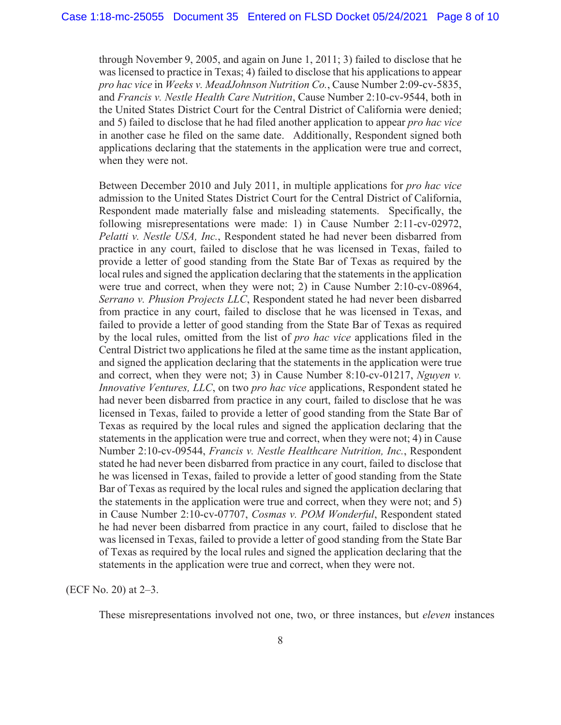through November 9, 2005, and again on June 1, 2011; 3) failed to disclose that he was licensed to practice in Texas; 4) failed to disclose that his applications to appear *pro hac vice* in *Weeks v. MeadJohnson Nutrition Co.*, Cause Number 2:09-cv-5835, and *Francis v. Nestle Health Care Nutrition*, Cause Number 2:10-cv-9544, both in the United States District Court for the Central District of California were denied; and 5) failed to disclose that he had filed another application to appear *pro hac vice* in another case he filed on the same date. Additionally, Respondent signed both applications declaring that the statements in the application were true and correct, when they were not.

Between December 2010 and July 2011, in multiple applications for *pro hac vice* admission to the United States District Court for the Central District of California, Respondent made materially false and misleading statements. Specifically, the following misrepresentations were made: 1) in Cause Number 2:11-cv-02972, *Pelatti v. Nestle USA, Inc.*, Respondent stated he had never been disbarred from practice in any court, failed to disclose that he was licensed in Texas, failed to provide a letter of good standing from the State Bar of Texas as required by the local rules and signed the application declaring that the statements in the application were true and correct, when they were not; 2) in Cause Number 2:10-cv-08964, *Serrano v. Phusion Projects LLC*, Respondent stated he had never been disbarred from practice in any court, failed to disclose that he was licensed in Texas, and failed to provide a letter of good standing from the State Bar of Texas as required by the local rules, omitted from the list of *pro hac vice* applications filed in the Central District two applications he filed at the same time as the instant application, and signed the application declaring that the statements in the application were true and correct, when they were not; 3) in Cause Number 8:10-cv-01217, *Nguyen v. Innovative Ventures, LLC*, on two *pro hac vice* applications, Respondent stated he had never been disbarred from practice in any court, failed to disclose that he was licensed in Texas, failed to provide a letter of good standing from the State Bar of Texas as required by the local rules and signed the application declaring that the statements in the application were true and correct, when they were not; 4) in Cause Number 2:10-cv-09544, *Francis v. Nestle Healthcare Nutrition, Inc.*, Respondent stated he had never been disbarred from practice in any court, failed to disclose that he was licensed in Texas, failed to provide a letter of good standing from the State Bar of Texas as required by the local rules and signed the application declaring that the statements in the application were true and correct, when they were not; and 5) in Cause Number 2:10-cv-07707, *Cosmas v. POM Wonderful*, Respondent stated he had never been disbarred from practice in any court, failed to disclose that he was licensed in Texas, failed to provide a letter of good standing from the State Bar of Texas as required by the local rules and signed the application declaring that the statements in the application were true and correct, when they were not.

(ECF No. 20) at 2–3.

These misrepresentations involved not one, two, or three instances, but *eleven* instances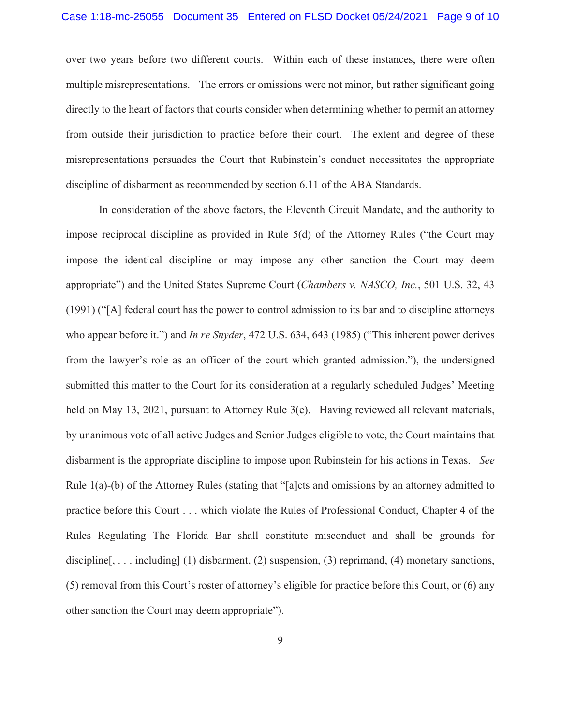over two years before two different courts. Within each of these instances, there were often multiple misrepresentations. The errors or omissions were not minor, but rather significant going directly to the heart of factors that courts consider when determining whether to permit an attorney from outside their jurisdiction to practice before their court. The extent and degree of these misrepresentations persuades the Court that Rubinstein's conduct necessitates the appropriate discipline of disbarment as recommended by section 6.11 of the ABA Standards.

 In consideration of the above factors, the Eleventh Circuit Mandate, and the authority to impose reciprocal discipline as provided in Rule 5(d) of the Attorney Rules ("the Court may impose the identical discipline or may impose any other sanction the Court may deem appropriate") and the United States Supreme Court (*Chambers v. NASCO, Inc.*, 501 U.S. 32, 43 (1991) ("[A] federal court has the power to control admission to its bar and to discipline attorneys who appear before it.") and *In re Snyder*, 472 U.S. 634, 643 (1985) ("This inherent power derives from the lawyer's role as an officer of the court which granted admission."), the undersigned submitted this matter to the Court for its consideration at a regularly scheduled Judges' Meeting held on May 13, 2021, pursuant to Attorney Rule 3(e). Having reviewed all relevant materials, by unanimous vote of all active Judges and Senior Judges eligible to vote, the Court maintains that disbarment is the appropriate discipline to impose upon Rubinstein for his actions in Texas. *See* Rule 1(a)-(b) of the Attorney Rules (stating that "[a]cts and omissions by an attorney admitted to practice before this Court . . . which violate the Rules of Professional Conduct, Chapter 4 of the Rules Regulating The Florida Bar shall constitute misconduct and shall be grounds for discipline[, ... including] (1) disbarment, (2) suspension, (3) reprimand, (4) monetary sanctions, (5) removal from this Court's roster of attorney's eligible for practice before this Court, or (6) any other sanction the Court may deem appropriate").